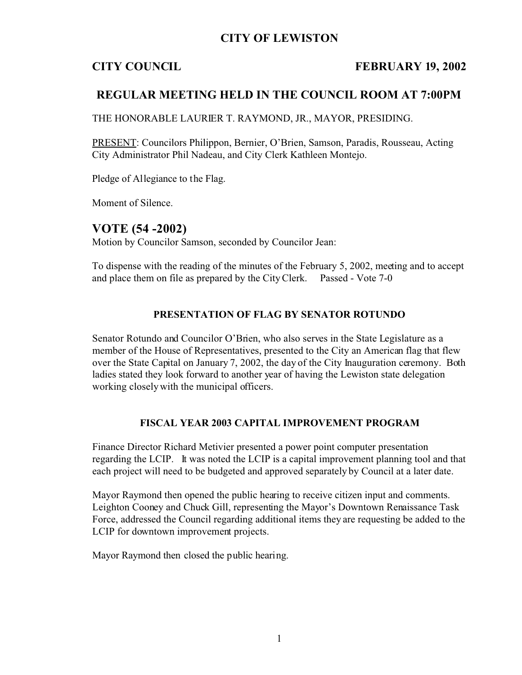# **CITY OF LEWISTON**

## **CITY COUNCIL FEBRUARY 19, 2002**

# **REGULAR MEETING HELD IN THE COUNCIL ROOM AT 7:00PM**

THE HONORABLE LAURIER T. RAYMOND, JR., MAYOR, PRESIDING.

PRESENT: Councilors Philippon, Bernier, O'Brien, Samson, Paradis, Rousseau, Acting City Administrator Phil Nadeau, and City Clerk Kathleen Montejo.

Pledge of Allegiance to the Flag.

Moment of Silence.

# **VOTE (54 -2002)**

Motion by Councilor Samson, seconded by Councilor Jean:

To dispense with the reading of the minutes of the February 5, 2002, meeting and to accept and place them on file as prepared by the City Clerk. Passed - Vote 7-0

## **PRESENTATION OF FLAG BY SENATOR ROTUNDO**

Senator Rotundo and Councilor O'Brien, who also serves in the State Legislature as a member of the House of Representatives, presented to the City an American flag that flew over the State Capital on January 7, 2002, the day of the City Inauguration ceremony. Both ladies stated they look forward to another year of having the Lewiston state delegation working closely with the municipal officers.

### **FISCAL YEAR 2003 CAPITAL IMPROVEMENT PROGRAM**

Finance Director Richard Metivier presented a power point computer presentation regarding the LCIP. It was noted the LCIP is a capital improvement planning tool and that each project will need to be budgeted and approved separately by Council at a later date.

Mayor Raymond then opened the public hearing to receive citizen input and comments. Leighton Cooney and Chuck Gill, representing the Mayor's Downtown Renaissance Task Force, addressed the Council regarding additional items they are requesting be added to the LCIP for downtown improvement projects.

Mayor Raymond then closed the public hearing.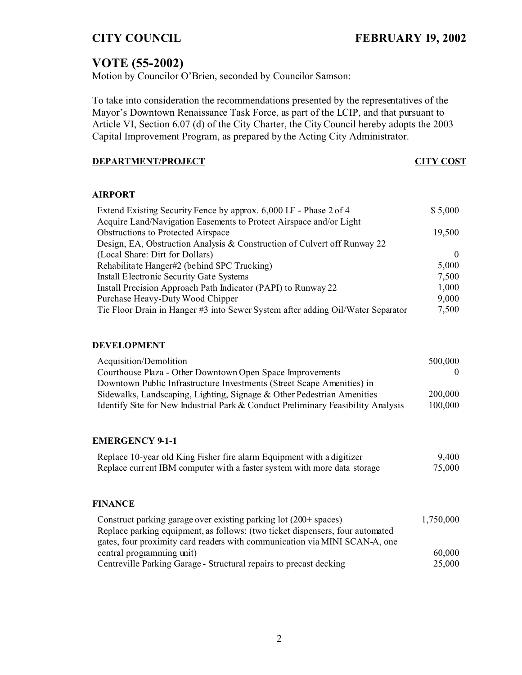# **VOTE (55-2002)**

Motion by Councilor O'Brien, seconded by Councilor Samson:

To take into consideration the recommendations presented by the representatives of the Mayor's Downtown Renaissance Task Force, as part of the LCIP, and that pursuant to Article VI, Section 6.07 (d) of the City Charter, the City Council hereby adopts the 2003 Capital Improvement Program, as prepared by the Acting City Administrator.

## **DEPARTMENT/PROJECT CITY COST**

### **AIRPORT**

| Extend Existing Security Fence by approx. 6,000 LF - Phase 2 of 4               | \$5,000  |
|---------------------------------------------------------------------------------|----------|
| Acquire Land/Navigation Easements to Protect Airspace and/or Light              |          |
| <b>Obstructions to Protected Airspace</b>                                       | 19,500   |
| Design, EA, Obstruction Analysis & Construction of Culvert off Runway 22        |          |
| (Local Share: Dirt for Dollars)                                                 | $\theta$ |
| Rehabilitate Hanger#2 (behind SPC Trucking)                                     | 5,000    |
| <b>Install Electronic Security Gate Systems</b>                                 | 7,500    |
| Install Precision Approach Path Indicator (PAPI) to Runway 22                   | 1,000    |
| Purchase Heavy-Duty Wood Chipper                                                | 9,000    |
| Tie Floor Drain in Hanger #3 into Sewer System after adding Oil/Water Separator | 7,500    |

#### **DEVELOPMENT**

| Acquisition/Demolition                                                           | 500,000 |
|----------------------------------------------------------------------------------|---------|
| Courthouse Plaza - Other Downtown Open Space Improvements                        | 0       |
| Downtown Public Infrastructure Investments (Street Scape Amenities) in           |         |
| Sidewalks, Landscaping, Lighting, Signage & Other Pedestrian Amenities           | 200,000 |
| Identify Site for New Industrial Park & Conduct Preliminary Feasibility Analysis | 100,000 |

### **EMERGENCY 9-1-1**

| Replace 10-year old King Fisher fire alarm Equipment with a digitizer    | 9,400  |
|--------------------------------------------------------------------------|--------|
| Replace current IBM computer with a faster system with more data storage | 75,000 |

### **FINANCE**

| Construct parking garage over existing parking lot $(200+)$ spaces)           | 1,750,000 |
|-------------------------------------------------------------------------------|-----------|
| Replace parking equipment, as follows: (two ticket dispensers, four automated |           |
| gates, four proximity card readers with communication via MINI SCAN-A, one    |           |
| central programming unit)                                                     | 60,000    |
| Centreville Parking Garage - Structural repairs to precast decking            | 25,000    |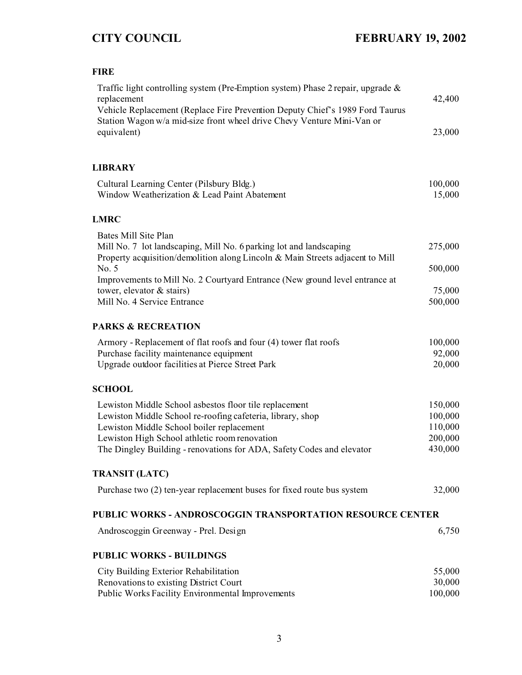# **FIRE**

| Traffic light controlling system (Pre-Emption system) Phase 2 repair, upgrade &<br>replacement                                                                        | 42,400            |
|-----------------------------------------------------------------------------------------------------------------------------------------------------------------------|-------------------|
| Vehicle Replacement (Replace Fire Prevention Deputy Chief's 1989 Ford Taurus<br>Station Wagon w/a mid-size front wheel drive Chevy Venture Mini-Van or<br>equivalent) | 23,000            |
| <b>LIBRARY</b>                                                                                                                                                        |                   |
| Cultural Learning Center (Pilsbury Bldg.)<br>Window Weatherization & Lead Paint Abatement                                                                             | 100,000<br>15,000 |
| <b>LMRC</b>                                                                                                                                                           |                   |
| Bates Mill Site Plan                                                                                                                                                  |                   |
| Mill No. 7 lot landscaping, Mill No. 6 parking lot and landscaping<br>Property acquisition/demolition along Lincoln & Main Streets adjacent to Mill                   | 275,000           |
| No. 5                                                                                                                                                                 | 500,000           |
| Improvements to Mill No. 2 Courtyard Entrance (New ground level entrance at                                                                                           |                   |
| tower, elevator & stairs)                                                                                                                                             | 75,000            |
| Mill No. 4 Service Entrance                                                                                                                                           | 500,000           |
| <b>PARKS &amp; RECREATION</b>                                                                                                                                         |                   |
| Armory - Replacement of flat roofs and four (4) tower flat roofs                                                                                                      | 100,000           |
| Purchase facility maintenance equipment                                                                                                                               | 92,000            |
| Upgrade outdoor facilities at Pierce Street Park                                                                                                                      | 20,000            |
| <b>SCHOOL</b>                                                                                                                                                         |                   |
| Lewiston Middle School asbestos floor tile replacement                                                                                                                | 150,000           |
| Lewiston Middle School re-roofing cafeteria, library, shop                                                                                                            | 100,000           |
| Lewiston Middle School boiler replacement                                                                                                                             | 110,000           |
| Lewiston High School athletic room renovation                                                                                                                         | 200,000           |
| The Dingley Building - renovations for ADA, Safety Codes and elevator                                                                                                 | 430,000           |
| <b>TRANSIT (LATC)</b>                                                                                                                                                 |                   |
| Purchase two (2) ten-year replacement buses for fixed route bus system                                                                                                | 32,000            |
| <b>PUBLIC WORKS - ANDROSCOGGIN TRANSPORTATION RESOURCE CENTER</b>                                                                                                     |                   |
| Androscoggin Greenway - Prel. Design                                                                                                                                  | 6,750             |
| <b>PUBLIC WORKS - BUILDINGS</b>                                                                                                                                       |                   |
|                                                                                                                                                                       |                   |
| City Building Exterior Rehabilitation<br>Renovations to existing District Court                                                                                       | 55,000<br>30,000  |
| Public Works Facility Environmental Improvements                                                                                                                      | 100,000           |
|                                                                                                                                                                       |                   |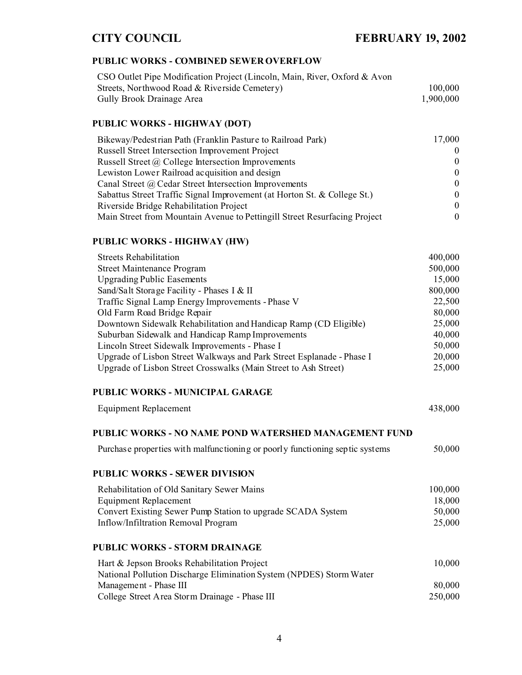# **CITY COUNCIL FEBRUARY 19, 2002**

#### **PUBLIC WORKS - COMBINED SEWER OVERFLOW**

| CSO Outlet Pipe Modification Project (Lincoln, Main, River, Oxford & Avon |           |
|---------------------------------------------------------------------------|-----------|
| Streets, Northwood Road & Riverside Cemetery)                             | 100,000   |
| Gully Brook Drainage Area                                                 | 1.900.000 |

#### **PUBLIC WORKS - HIGHWAY (DOT)**

| Bikeway/Pedestrian Path (Franklin Pasture to Railroad Park)               | 17,000   |
|---------------------------------------------------------------------------|----------|
| Russell Street Intersection Improvement Project                           | $\Omega$ |
| Russell Street @ College Intersection Improvements                        | $\Omega$ |
| Lewiston Lower Railroad acquisition and design                            | $\Omega$ |
| Canal Street @ Cedar Street Intersection Improvements                     | $\Omega$ |
| Sabattus Street Traffic Signal Improvement (at Horton St. & College St.)  | 0        |
| Riverside Bridge Rehabilitation Project                                   | $\Omega$ |
| Main Street from Mountain Avenue to Pettingill Street Resurfacing Project | 0        |

### **PUBLIC WORKS - HIGHWAY (HW)**

| <b>Streets Rehabilitation</b>                                         | 400,000 |
|-----------------------------------------------------------------------|---------|
| <b>Street Maintenance Program</b>                                     | 500,000 |
| <b>Upgrading Public Easements</b>                                     | 15,000  |
| Sand/Salt Storage Facility - Phases I & II                            | 800,000 |
| Traffic Signal Lamp Energy Improvements - Phase V                     | 22,500  |
| Old Farm Road Bridge Repair                                           | 80,000  |
| Downtown Sidewalk Rehabilitation and Handicap Ramp (CD Eligible)      | 25,000  |
| Suburban Sidewalk and Handicap Ramp Improvements                      | 40,000  |
| Lincoln Street Sidewalk Improvements - Phase I                        | 50,000  |
| Upgrade of Lisbon Street Walkways and Park Street Esplanade - Phase I | 20,000  |
| Upgrade of Lisbon Street Crosswalks (Main Street to Ash Street)       | 25,000  |

#### **PUBLIC WORKS - MUNICIPAL GARAGE**

| <b>Equipment Replacement</b> | 438,000 |
|------------------------------|---------|
|------------------------------|---------|

### **PUBLIC WORKS - NO NAME POND WATERSHED MANAGEMENT FUND**

| Purchase properties with malfunctioning or poorly functioning septic systems | 50,000 |
|------------------------------------------------------------------------------|--------|
|------------------------------------------------------------------------------|--------|

#### **PUBLIC WORKS - SEWER DIVISION**

| Rehabilitation of Old Sanitary Sewer Mains                  | 100,000 |
|-------------------------------------------------------------|---------|
| Equipment Replacement                                       | 18,000  |
| Convert Existing Sewer Pump Station to upgrade SCADA System | 50,000  |
| Inflow/Infiltration Removal Program                         | 25,000  |

#### **PUBLIC WORKS - STORM DRAINAGE**

| Hart & Jepson Brooks Rehabilitation Project                         | 10.000  |
|---------------------------------------------------------------------|---------|
| National Pollution Discharge Elimination System (NPDES) Storm Water |         |
| Management - Phase III                                              | 80.000  |
| College Street Area Storm Drainage - Phase III                      | 250.000 |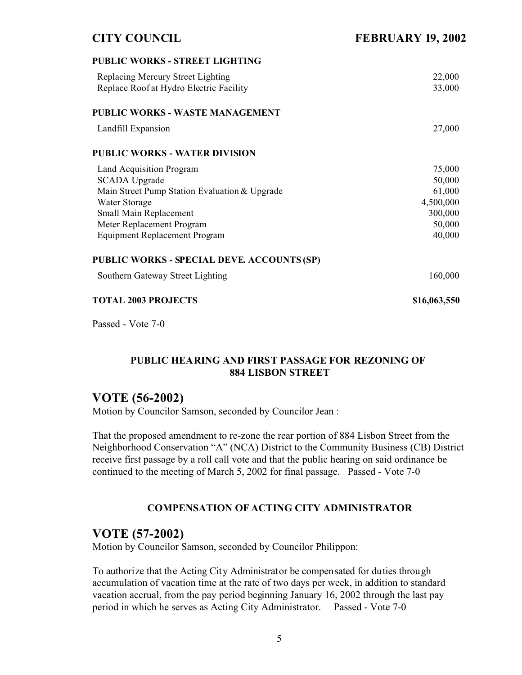## **CITY COUNCIL FEBRUARY 19, 2002**

| <b>PUBLIC WORKS - STREET LIGHTING</b>         |              |
|-----------------------------------------------|--------------|
| Replacing Mercury Street Lighting             | 22,000       |
| Replace Roof at Hydro Electric Facility       | 33,000       |
| <b>PUBLIC WORKS - WASTE MANAGEMENT</b>        |              |
| Landfill Expansion                            | 27,000       |
| <b>PUBLIC WORKS - WATER DIVISION</b>          |              |
| Land Acquisition Program                      | 75,000       |
| <b>SCADA Upgrade</b>                          | 50,000       |
| Main Street Pump Station Evaluation & Upgrade | 61,000       |
| Water Storage                                 | 4,500,000    |
| Small Main Replacement                        | 300,000      |
| Meter Replacement Program                     | 50,000       |
| <b>Equipment Replacement Program</b>          | 40,000       |
| PUBLIC WORKS - SPECIAL DEVE. ACCOUNTS (SP)    |              |
| Southern Gateway Street Lighting              | 160,000      |
| <b>TOTAL 2003 PROJECTS</b>                    | \$16,063,550 |

Passed - Vote 7-0

## **PUBLIC HEARING AND FIRST PASSAGE FOR REZONING OF 884 LISBON STREET**

## **VOTE (56-2002)**

Motion by Councilor Samson, seconded by Councilor Jean :

That the proposed amendment to re-zone the rear portion of 884 Lisbon Street from the Neighborhood Conservation "A" (NCA) District to the Community Business (CB) District receive first passage by a roll call vote and that the public hearing on said ordinance be continued to the meeting of March 5, 2002 for final passage. Passed - Vote 7-0

## **COMPENSATION OF ACTING CITY ADMINISTRATOR**

## **VOTE (57-2002)**

Motion by Councilor Samson, seconded by Councilor Philippon:

To authorize that the Acting City Administrator be compensated for duties through accumulation of vacation time at the rate of two days per week, in addition to standard vacation accrual, from the pay period beginning January 16, 2002 through the last pay period in which he serves as Acting City Administrator. Passed - Vote 7-0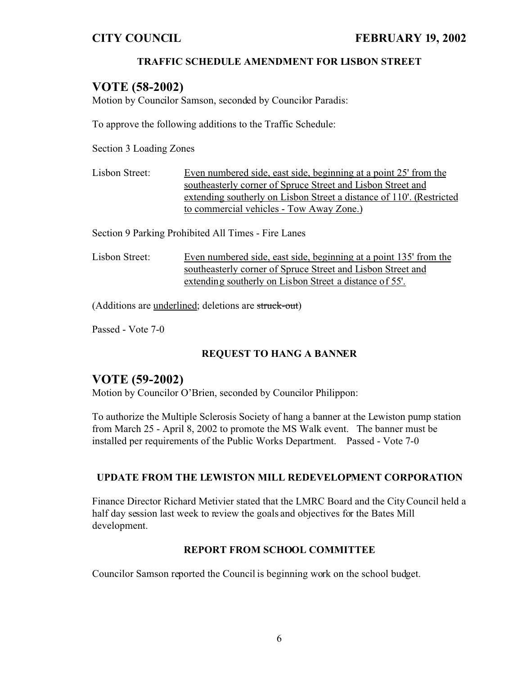## **TRAFFIC SCHEDULE AMENDMENT FOR LISBON STREET**

## **VOTE (58-2002)**

Motion by Councilor Samson, seconded by Councilor Paradis:

To approve the following additions to the Traffic Schedule:

Section 3 Loading Zones

Lisbon Street: Even numbered side, east side, beginning at a point 25' from the southeasterly corner of Spruce Street and Lisbon Street and extending southerly on Lisbon Street a distance of 110'. (Restricted to commercial vehicles - Tow Away Zone.)

Section 9 Parking Prohibited All Times - Fire Lanes

Lisbon Street: Even numbered side, east side, beginning at a point 135' from the southeasterly corner of Spruce Street and Lisbon Street and extending southerly on Lisbon Street a distance of 55'.

(Additions are underlined; deletions are struck-out)

Passed - Vote 7-0

## **REQUEST TO HANG A BANNER**

## **VOTE (59-2002)**

Motion by Councilor O'Brien, seconded by Councilor Philippon:

To authorize the Multiple Sclerosis Society of hang a banner at the Lewiston pump station from March 25 - April 8, 2002 to promote the MS Walk event. The banner must be installed per requirements of the Public Works Department. Passed - Vote 7-0

### **UPDATE FROM THE LEWISTON MILL REDEVELOPMENT CORPORATION**

Finance Director Richard Metivier stated that the LMRC Board and the City Council held a half day session last week to review the goals and objectives for the Bates Mill development.

### **REPORT FROM SCHOOL COMMITTEE**

Councilor Samson reported the Council is beginning work on the school budget.